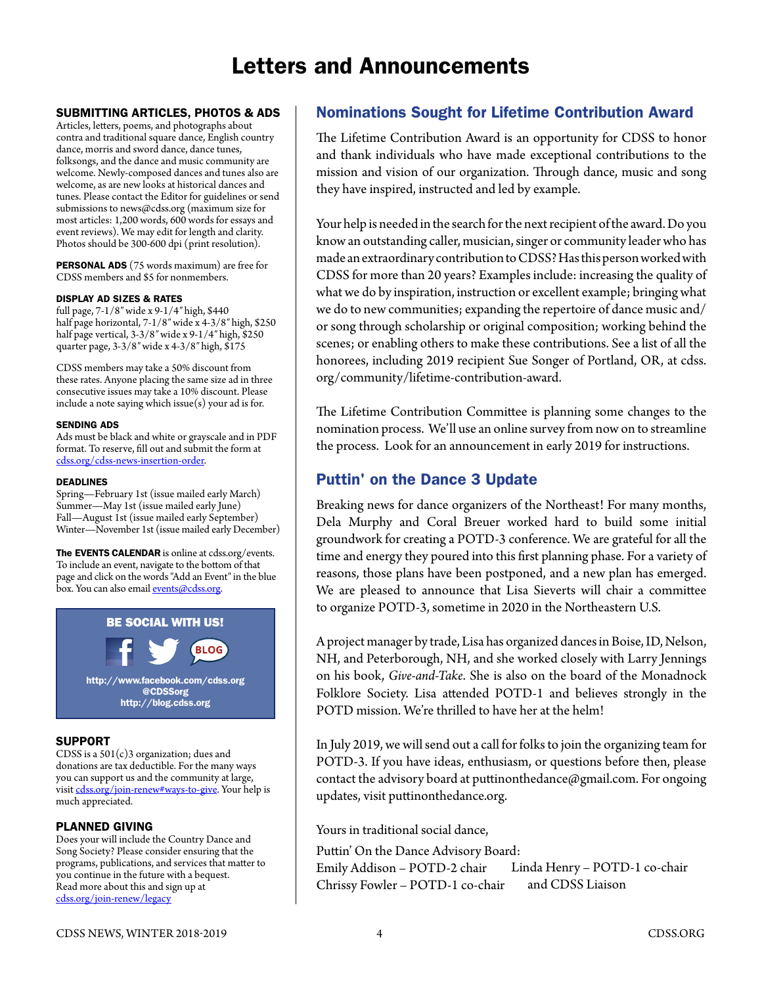# Letters and Announcements

#### SUBMITTING ARTICLES, PHOTOS & ADS

Articles, letters, poems, and photographs about contra and traditional square dance, English country dance, morris and sword dance, dance tunes, folksongs, and the dance and music community are welcome. Newly-composed dances and tunes also are welcome, as are new looks at historical dances and tunes. Please contact the Editor for guidelines or send submissions to [news@cdss.org](mailto:news@cdss.org) (maximum size for most articles: 1,200 words, 600 words for essays and event reviews). We may edit for length and clarity. Photos should be 300-600 dpi (print resolution).

PERSONAL ADS (75 words maximum) are free for CDSS members and \$5 for nonmembers.

#### DISPLAY AD SIZES & RATES

full page, 7-1/8″ wide x 9-1/4″ high, \$440 half page horizontal, 7-1/8″ wide x 4-3/8″ high, \$250 half page vertical, 3-3/8″ wide x 9-1/4″ high, \$250 quarter page, 3-3/8″ wide x 4-3/8″ high, \$175

CDSS members may take a 50% discount from these rates. Anyone placing the same size ad in three consecutive issues may take a 10% discount. Please include a note saying which issue(s) your ad is for.

#### SENDING ADS

Ads must be black and white or grayscale and in PDF format. To reserve, fill out and submit the form at [cdss.org/cdss-news-insertion-order.](https://www.cdss.org/cdss-news-insertion-order)

#### DEADLINES

Spring—February 1st (issue mailed early March) Summer—May 1st (issue mailed early June) Fall—August 1st (issue mailed early September) Winter—November 1st (issue mailed early December)

The EVENTS CALENDAR is online at cdss.org/events. To include an event, navigate to the bottom of that page and click on the words "Add an Event" in the blue box. You can also email **[events@cdss.org](mailto:events@cdss.org)**.



#### SUPPORT

CDSS is a 501(c)3 organization; dues and donations are tax deductible. For the many ways you can support us and the community at large, visit [cdss.org/join-renew#ways-to-give](https://www.cdss.org/join-renew#ways-to-give). Your help is much appreciated.

#### PLANNED GIVING

Does your will include the Country Dance and Song Society? Please consider ensuring that the programs, publications, and services that matter to you continue in the future with a bequest. Read more about this and sign up at [cdss.org/join-renew/legacy](https://cdss.org/join-renew/legacy)

# Nominations Sought for Lifetime Contribution Award

The Lifetime Contribution Award is an opportunity for CDSS to honor and thank individuals who have made exceptional contributions to the mission and vision of our organization. Through dance, music and song they have inspired, instructed and led by example.

Your help is needed in the search for the next recipient of the award. Do you know an outstanding caller, musician, singer or community leader who has made an extraordinary contribution to CDSS? Has this person worked with CDSS for more than 20 years? Examples include: increasing the quality of what we do by inspiration, instruction or excellent example; bringing what we do to new communities; expanding the repertoire of dance music and/ or song through scholarship or original composition; working behind the scenes; or enabling others to make these contributions. See a list of all the honorees, including 2019 recipient Sue Songer of Portland, OR, at cdss. org/community/lifetime-contribution-award.

The Lifetime Contribution Committee is planning some changes to the nomination process. We'll use an online survey from now on to streamline the process. Look for an announcement in early 2019 for instructions.

# Puttin' on the Dance 3 Update

Breaking news for dance organizers of the Northeast! For many months, Dela Murphy and Coral Breuer worked hard to build some initial groundwork for creating a POTD-3 conference. We are grateful for all the time and energy they poured into this first planning phase. For a variety of reasons, those plans have been postponed, and a new plan has emerged. We are pleased to announce that Lisa Sieverts will chair a committee to organize POTD-3, sometime in 2020 in the Northeastern U.S.

A project manager by trade, Lisa has organized dances in Boise, ID, Nelson, NH, and Peterborough, NH, and she worked closely with Larry Jennings on his book, *Give-and-Take*. She is also on the board of the Monadnock Folklore Society. Lisa attended POTD-1 and believes strongly in the POTD mission. We're thrilled to have her at the helm!

In July 2019, we will send out a call for folks to join the organizing team for POTD-3. If you have ideas, enthusiasm, or questions before then, please contact the advisory board at puttinonthedance@gmail.com. For ongoing updates, visit puttinonthedance.org.

Yours in traditional social dance,

Puttin' On the Dance Advisory Board: Emily Addison – POTD-2 chair Chrissy Fowler – POTD-1 co-chair Linda Henry – POTD-1 co-chair and CDSS Liaison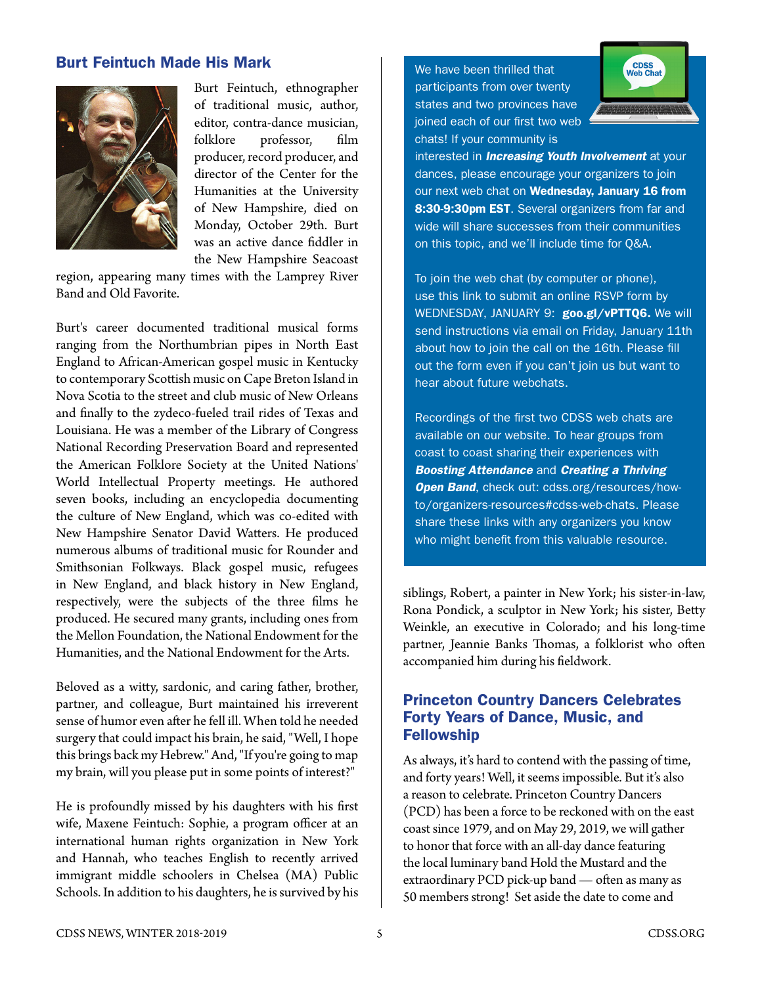### Burt Feintuch Made His Mark



Burt Feintuch, ethnographer of traditional music, author, editor, contra-dance musician, folklore professor, film producer, record producer, and director of the Center for the Humanities at the University of New Hampshire, died on Monday, October 29th. Burt was an active dance fiddler in the New Hampshire Seacoast

region, appearing many times with the Lamprey River Band and Old Favorite.

Burt's career documented traditional musical forms ranging from the Northumbrian pipes in North East England to African-American gospel music in Kentucky to contemporary Scottish music on Cape Breton Island in Nova Scotia to the street and club music of New Orleans and finally to the zydeco-fueled trail rides of Texas and Louisiana. He was a member of the Library of Congress National Recording Preservation Board and represented the American Folklore Society at the United Nations' World Intellectual Property meetings. He authored seven books, including an encyclopedia documenting the culture of New England, which was co-edited with New Hampshire Senator David Watters. He produced numerous albums of traditional music for Rounder and Smithsonian Folkways. Black gospel music, refugees in New England, and black history in New England, respectively, were the subjects of the three films he produced. He secured many grants, including ones from the Mellon Foundation, the National Endowment for the Humanities, and the National Endowment for the Arts.

Beloved as a witty, sardonic, and caring father, brother, partner, and colleague, Burt maintained his irreverent sense of humor even after he fell ill. When told he needed surgery that could impact his brain, he said, "Well, I hope this brings back my Hebrew." And, "If you're going to map my brain, will you please put in some points of interest?"

He is profoundly missed by his daughters with his first wife, Maxene Feintuch: Sophie, a program officer at an international human rights organization in New York and Hannah, who teaches English to recently arrived immigrant middle schoolers in Chelsea (MA) Public Schools. In addition to his daughters, he is survived by his

We have been thrilled that participants from over twenty states and two provinces have joined each of our first two web chats! If your community is



interested in *Increasing Youth Involvement* at your dances, please encourage your organizers to join our next web chat on Wednesday, January 16 from 8:30-9:30pm EST. Several organizers from far and wide will share successes from their communities on this topic, and we'll include time for Q&A.

To join the web chat (by computer or phone), use this link to submit an online RSVP form by WEDNESDAY, JANUARY 9: [goo.gl/vPTTQ6.](http://goo.gl/vPTTQ6) We will send instructions via email on Friday, January 11th about how to join the call on the 16th. Please fill out the form even if you can't join us but want to hear about future webchats.

Recordings of the first two CDSS web chats are available on our website. To hear groups from coast to coast sharing their experiences with *Boosting Attendance* and *Creating a Thriving Open Band*, check out: [cdss.org/resources/how](https://www.cdss.org/resources/how-to/organizers-resources#cdss-web-chats)[to/organizers-resources#cdss-web-chats.](https://www.cdss.org/resources/how-to/organizers-resources#cdss-web-chats) Please share these links with any organizers you know who might benefit from this valuable resource.

siblings, Robert, a painter in New York; his sister-in-law, Rona Pondick, a sculptor in New York; his sister, Betty Weinkle, an executive in Colorado; and his long-time partner, Jeannie Banks Thomas, a folklorist who often accompanied him during his fieldwork.

### Princeton Country Dancers Celebrates Forty Years of Dance, Music, and **Fellowship**

As always, it's hard to contend with the passing of time, and forty years! Well, it seems impossible. But it's also a reason to celebrate. Princeton Country Dancers (PCD) has been a force to be reckoned with on the east coast since 1979, and on May 29, 2019, we will gather to honor that force with an all-day dance featuring the local luminary band Hold the Mustard and the extraordinary PCD pick-up band — often as many as 50 members strong! Set aside the date to come and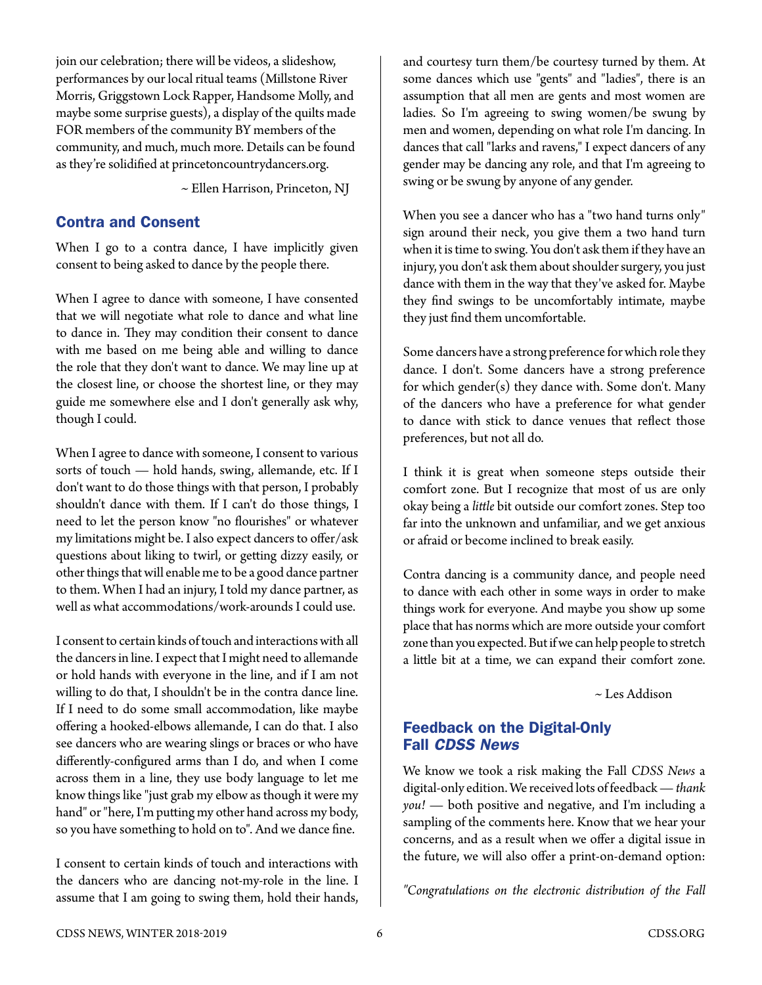join our celebration; there will be videos, a slideshow, performances by our local ritual teams (Millstone River Morris, Griggstown Lock Rapper, Handsome Molly, and maybe some surprise guests), a display of the quilts made FOR members of the community BY members of the community, and much, much more. Details can be found as they're solidified at princetoncountrydancers.org.

~ Ellen Harrison, Princeton, NJ

### Contra and Consent

When I go to a contra dance, I have implicitly given consent to being asked to dance by the people there.

When I agree to dance with someone, I have consented that we will negotiate what role to dance and what line to dance in. They may condition their consent to dance with me based on me being able and willing to dance the role that they don't want to dance. We may line up at the closest line, or choose the shortest line, or they may guide me somewhere else and I don't generally ask why, though I could.

When I agree to dance with someone, I consent to various sorts of touch — hold hands, swing, allemande, etc. If I don't want to do those things with that person, I probably shouldn't dance with them. If I can't do those things, I need to let the person know "no flourishes" or whatever my limitations might be. I also expect dancers to offer/ask questions about liking to twirl, or getting dizzy easily, or other things that will enable me to be a good dance partner to them. When I had an injury, I told my dance partner, as well as what accommodations/work-arounds I could use.

I consent to certain kinds of touch and interactions with all the dancers in line. I expect that I might need to allemande or hold hands with everyone in the line, and if I am not willing to do that, I shouldn't be in the contra dance line. If I need to do some small accommodation, like maybe offering a hooked-elbows allemande, I can do that. I also see dancers who are wearing slings or braces or who have differently-configured arms than I do, and when I come across them in a line, they use body language to let me know things like "just grab my elbow as though it were my hand" or "here, I'm putting my other hand across my body, so you have something to hold on to". And we dance fine.

I consent to certain kinds of touch and interactions with the dancers who are dancing not-my-role in the line. I assume that I am going to swing them, hold their hands,

and courtesy turn them/be courtesy turned by them. At some dances which use "gents" and "ladies", there is an assumption that all men are gents and most women are ladies. So I'm agreeing to swing women/be swung by men and women, depending on what role I'm dancing. In dances that call "larks and ravens," I expect dancers of any gender may be dancing any role, and that I'm agreeing to swing or be swung by anyone of any gender.

When you see a dancer who has a "two hand turns only" sign around their neck, you give them a two hand turn when it is time to swing. You don't ask them if they have an injury, you don't ask them about shoulder surgery, you just dance with them in the way that they've asked for. Maybe they find swings to be uncomfortably intimate, maybe they just find them uncomfortable.

Some dancers have a strong preference for which role they dance. I don't. Some dancers have a strong preference for which gender(s) they dance with. Some don't. Many of the dancers who have a preference for what gender to dance with stick to dance venues that reflect those preferences, but not all do.

I think it is great when someone steps outside their comfort zone. But I recognize that most of us are only okay being a *little* bit outside our comfort zones. Step too far into the unknown and unfamiliar, and we get anxious or afraid or become inclined to break easily.

Contra dancing is a community dance, and people need to dance with each other in some ways in order to make things work for everyone. And maybe you show up some place that has norms which are more outside your comfort zone than you expected. But if we can help people to stretch a little bit at a time, we can expand their comfort zone.

~ Les Addison

# Feedback on the Digital-Only Fall *CDSS News*

We know we took a risk making the Fall *CDSS News* a digital-only edition. We received lots of feedback — *thank you!* — both positive and negative, and I'm including a sampling of the comments here. Know that we hear your concerns, and as a result when we offer a digital issue in the future, we will also offer a print-on-demand option:

*"Congratulations on the electronic distribution of the Fall*